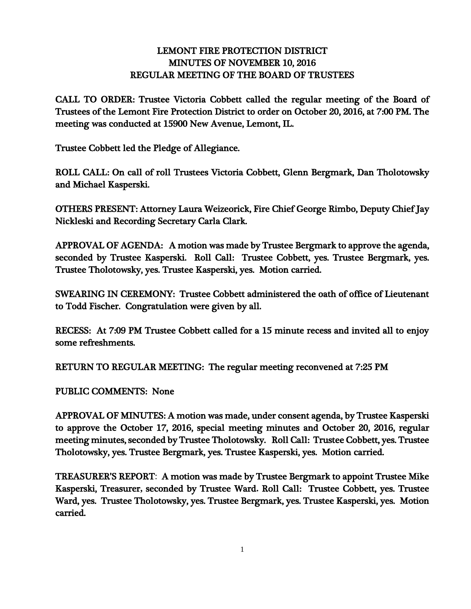## LEMONT FIRE PROTECTION DISTRICT MINUTES OF NOVEMBER 10, 2016 REGULAR MEETING OF THE BOARD OF TRUSTEES

CALL TO ORDER: Trustee Victoria Cobbett called the regular meeting of the Board of Trustees of the Lemont Fire Protection District to order on October 20, 2016, at 7:00 PM. The meeting was conducted at 15900 New Avenue, Lemont, IL.

Trustee Cobbett led the Pledge of Allegiance.

ROLL CALL: On call of roll Trustees Victoria Cobbett, Glenn Bergmark, Dan Tholotowsky and Michael Kasperski.

OTHERS PRESENT: Attorney Laura Weizeorick, Fire Chief George Rimbo, Deputy Chief Jay Nickleski and Recording Secretary Carla Clark.

APPROVAL OF AGENDA: A motion was made by Trustee Bergmark to approve the agenda, seconded by Trustee Kasperski. Roll Call: Trustee Cobbett, yes. Trustee Bergmark, yes. Trustee Tholotowsky, yes. Trustee Kasperski, yes. Motion carried.

SWEARING IN CEREMONY: Trustee Cobbett administered the oath of office of Lieutenant to Todd Fischer. Congratulation were given by all.

RECESS: At 7:09 PM Trustee Cobbett called for a 15 minute recess and invited all to enjoy some refreshments.

RETURN TO REGULAR MEETING: The regular meeting reconvened at 7:25 PM

PUBLIC COMMENTS: None

APPROVAL OF MINUTES: A motion was made, under consent agenda, by Trustee Kasperski to approve the October 17, 2016, special meeting minutes and October 20, 2016, regular meeting minutes, seconded by Trustee Tholotowsky. Roll Call: Trustee Cobbett, yes. Trustee Tholotowsky, yes. Trustee Bergmark, yes. Trustee Kasperski, yes. Motion carried.

TREASURER'S REPORT: A motion was made by Trustee Bergmark to appoint Trustee Mike Kasperski, Treasurer**,** seconded by Trustee Ward**.** Roll Call: Trustee Cobbett, yes. Trustee Ward, yes. Trustee Tholotowsky, yes. Trustee Bergmark, yes. Trustee Kasperski, yes. Motion carried.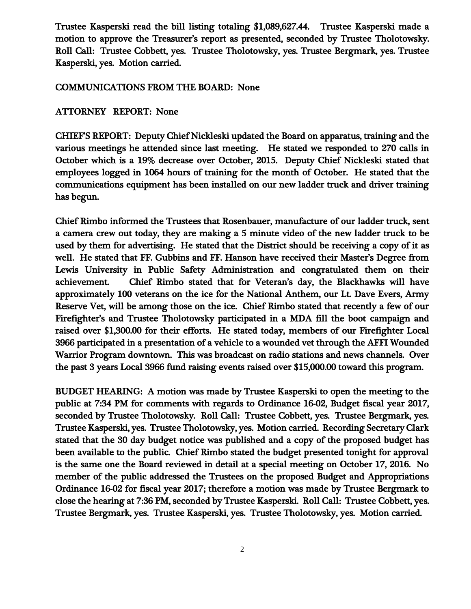Trustee Kasperski read the bill listing totaling \$1,089,627.44. Trustee Kasperski made a motion to approve the Treasurer's report as presented, seconded by Trustee Tholotowsky. Roll Call: Trustee Cobbett, yes. Trustee Tholotowsky, yes. Trustee Bergmark, yes. Trustee Kasperski, yes. Motion carried.

## COMMUNICATIONS FROM THE BOARD: None

## ATTORNEY REPORT: None

CHIEF'S REPORT: Deputy Chief Nickleski updated the Board on apparatus, training and the various meetings he attended since last meeting. He stated we responded to 270 calls in October which is a 19% decrease over October, 2015. Deputy Chief Nickleski stated that employees logged in 1064 hours of training for the month of October. He stated that the communications equipment has been installed on our new ladder truck and driver training has begun.

Chief Rimbo informed the Trustees that Rosenbauer, manufacture of our ladder truck, sent a camera crew out today, they are making a 5 minute video of the new ladder truck to be used by them for advertising. He stated that the District should be receiving a copy of it as well. He stated that FF. Gubbins and FF. Hanson have received their Master's Degree from Lewis University in Public Safety Administration and congratulated them on their achievement. Chief Rimbo stated that for Veteran's day, the Blackhawks will have approximately 100 veterans on the ice for the National Anthem, our Lt. Dave Evers, Army Reserve Vet, will be among those on the ice. Chief Rimbo stated that recently a few of our Firefighter's and Trustee Tholotowsky participated in a MDA fill the boot campaign and raised over \$1,300.00 for their efforts. He stated today, members of our Firefighter Local 3966 participated in a presentation of a vehicle to a wounded vet through the AFFI Wounded Warrior Program downtown. This was broadcast on radio stations and news channels. Over the past 3 years Local 3966 fund raising events raised over \$15,000.00 toward this program.

BUDGET HEARING: A motion was made by Trustee Kasperski to open the meeting to the public at 7:34 PM for comments with regards to Ordinance 16-02, Budget fiscal year 2017, seconded by Trustee Tholotowsky. Roll Call: Trustee Cobbett, yes. Trustee Bergmark, yes. Trustee Kasperski, yes. Trustee Tholotowsky, yes. Motion carried. Recording Secretary Clark stated that the 30 day budget notice was published and a copy of the proposed budget has been available to the public. Chief Rimbo stated the budget presented tonight for approval is the same one the Board reviewed in detail at a special meeting on October 17, 2016. No member of the public addressed the Trustees on the proposed Budget and Appropriations Ordinance 16-02 for fiscal year 2017; therefore a motion was made by Trustee Bergmark to close the hearing at 7:36 PM, seconded by Trustee Kasperski. Roll Call: Trustee Cobbett, yes. Trustee Bergmark, yes. Trustee Kasperski, yes. Trustee Tholotowsky, yes. Motion carried.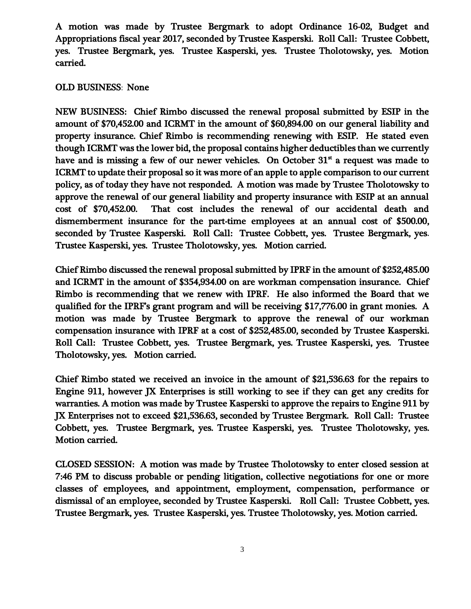A motion was made by Trustee Bergmark to adopt Ordinance 16-02, Budget and Appropriations fiscal year 2017, seconded by Trustee Kasperski. Roll Call: Trustee Cobbett, yes. Trustee Bergmark, yes. Trustee Kasperski, yes. Trustee Tholotowsky, yes. Motion carried.

## OLD BUSINESS: None

NEW BUSINESS: Chief Rimbo discussed the renewal proposal submitted by ESIP in the amount of \$70,452.00 and ICRMT in the amount of \$60,894.00 on our general liability and property insurance. Chief Rimbo is recommending renewing with ESIP. He stated even though ICRMT was the lower bid, the proposal contains higher deductibles than we currently have and is missing a few of our newer vehicles. On October  $31<sup>st</sup>$  a request was made to ICRMT to update their proposal so it was more of an apple to apple comparison to our current policy, as of today they have not responded. A motion was made by Trustee Tholotowsky to approve the renewal of our general liability and property insurance with ESIP at an annual cost of \$70,452.00. That cost includes the renewal of our accidental death and dismemberment insurance for the part-time employees at an annual cost of \$500.00, seconded by Trustee Kasperski. Roll Call: Trustee Cobbett, yes. Trustee Bergmark, yes. Trustee Kasperski, yes. Trustee Tholotowsky, yes. Motion carried.

Chief Rimbo discussed the renewal proposal submitted by IPRF in the amount of \$252,485.00 and ICRMT in the amount of \$354,934.00 on are workman compensation insurance. Chief Rimbo is recommending that we renew with IPRF. He also informed the Board that we qualified for the IPRF's grant program and will be receiving \$17,776.00 in grant monies. A motion was made by Trustee Bergmark to approve the renewal of our workman compensation insurance with IPRF at a cost of \$252,485.00, seconded by Trustee Kasperski. Roll Call: Trustee Cobbett, yes. Trustee Bergmark, yes. Trustee Kasperski, yes. Trustee Tholotowsky, yes. Motion carried.

Chief Rimbo stated we received an invoice in the amount of \$21,536.63 for the repairs to Engine 911, however JX Enterprises is still working to see if they can get any credits for warranties. A motion was made by Trustee Kasperski to approve the repairs to Engine 911 by JX Enterprises not to exceed \$21,536.63, seconded by Trustee Bergmark. Roll Call: Trustee Cobbett, yes. Trustee Bergmark, yes. Trustee Kasperski, yes. Trustee Tholotowsky, yes. Motion carried.

CLOSED SESSION: A motion was made by Trustee Tholotowsky to enter closed session at 7:46 PM to discuss probable or pending litigation, collective negotiations for one or more classes of employees, and appointment, employment, compensation, performance or dismissal of an employee, seconded by Trustee Kasperski. Roll Call: Trustee Cobbett, yes. Trustee Bergmark, yes. Trustee Kasperski, yes. Trustee Tholotowsky, yes. Motion carried.